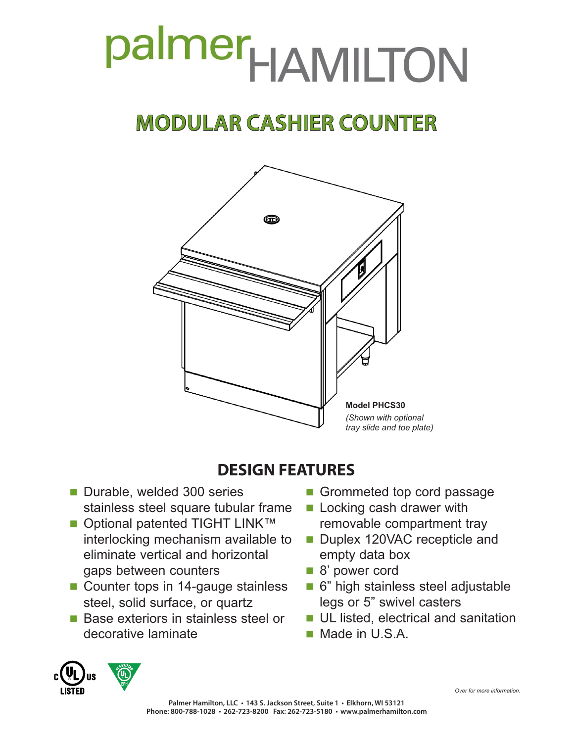# palmer<sub>HAMILTON</sub>

## **MODULAR CASHIER COUNTER**



### **DESIGN FEATURES**

- Durable, welded 300 series stainless steel square tubular frame
- Optional patented TIGHT LINK™ interlocking mechanism available to eliminate vertical and horizontal gaps between counters
- Counter tops in 14-gauge stainless steel, solid surface, or quartz
- **Base exteriors in stainless steel or** decorative laminate
- Grommeted top cord passage
- **Locking cash drawer with** removable compartment tray
- Duplex 120VAC recepticle and empty data box
- 8' power cord
- 6" high stainless steel adjustable legs or 5" swivel casters
- **UL listed, electrical and sanitation**
- Made in U.S.A.



*Over for more information.*